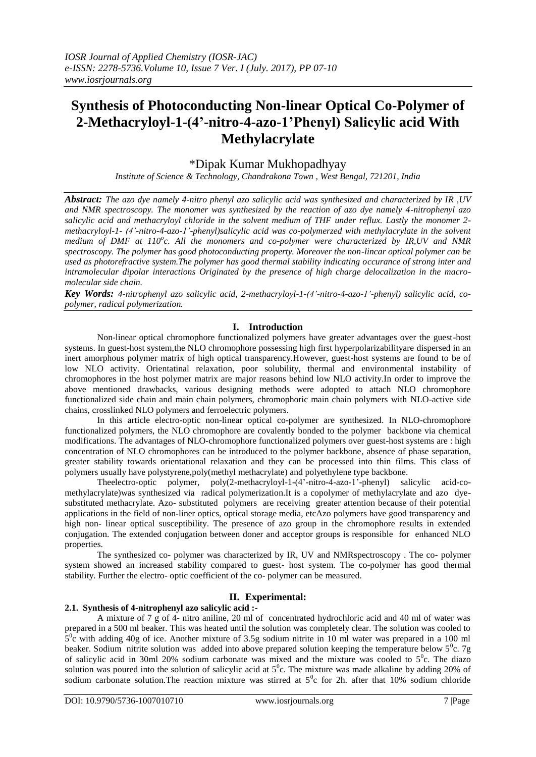# **Synthesis of Photoconducting Non-linear Optical Co-Polymer of 2-Methacryloyl-1-(4'-nitro-4-azo-1'Phenyl) Salicylic acid With Methylacrylate**

## \*Dipak Kumar Mukhopadhyay

*Institute of Science & Technology, Chandrakona Town , West Bengal, 721201, India*

*Abstract: The azo dye namely 4-nitro phenyl azo salicylic acid was synthesized and characterized by IR ,UV and NMR spectroscopy. The monomer was synthesized by the reaction of azo dye namely 4-nitrophenyl azo salicylic acid and methacryloyl chloride in the solvent medium of THF under reflux. Lastly the monomer 2 methacryloyl-1- (4'-nitro-4-azo-1'-phenyl)salicylic acid was co-polymerzed with methylacrylate in the solvent medium of DMF at 110<sup>o</sup> c. All the monomers and co-polymer were characterized by IR,UV and NMR spectroscopy. The polymer has good photoconducting property. Moreover the non-lincar optical polymer can be used as photorefractive system.The polymer has good thermal stability indicating occurance of strong inter and intramolecular dipolar interactions Originated by the presence of high charge delocalization in the macromolecular side chain.*

*Key Words: 4-nitrophenyl azo salicylic acid, 2-methacryloyl-1-(4'-nitro-4-azo-1'-phenyl) salicylic acid, copolymer, radical polymerization.*

## **I. Introduction**

Non-linear optical chromophore functionalized polymers have greater advantages over the guest-host systems. In guest-host system,the NLO chromophore possessing high first hyperpolarizabilityare dispersed in an inert amorphous polymer matrix of high optical transparency.However, guest-host systems are found to be of low NLO activity. Orientatinal relaxation, poor solubility, thermal and environmental instability of chromophores in the host polymer matrix are major reasons behind low NLO activity.In order to improve the above mentioned drawbacks, various designing methods were adopted to attach NLO chromophore functionalized side chain and main chain polymers, chromophoric main chain polymers with NLO-active side chains, crosslinked NLO polymers and ferroelectric polymers.

In this article electro-optic non-linear optical co-polymer are synthesized. In NLO-chromophore functionalized polymers, the NLO chromophore are covalently bonded to the polymer backbone via chemical modifications. The advantages of NLO-chromophore functionalized polymers over guest-host systems are : high concentration of NLO chromophores can be introduced to the polymer backbone, absence of phase separation, greater stability towards orientational relaxation and they can be processed into thin films. This class of polymers usually have polystyrene,poly(methyl methacrylate) and polyethylene type backbone.

Theelectro-optic polymer, poly(2-methacryloyl-1-(4'-nitro-4-azo-1'-phenyl) salicylic acid-comethylacrylate)was synthesized via radical polymerization.It is a copolymer of methylacrylate and azo dyesubstituted methacrylate. Azo- substituted polymers are receiving greater attention because of their potential applications in the field of non-liner optics, optical storage media, etcAzo polymers have good transparency and high non- linear optical susceptibility. The presence of azo group in the chromophore results in extended conjugation. The extended conjugation between doner and acceptor groups is responsible for enhanced NLO properties.

The synthesized co- polymer was characterized by IR, UV and NMRspectroscopy . The co- polymer system showed an increased stability compared to guest- host system. The co-polymer has good thermal stability. Further the electro- optic coefficient of the co- polymer can be measured.

## **II. Experimental:**

### **2.1. Synthesis of 4-nitrophenyl azo salicylic acid :-**

A mixture of 7 g of 4- nitro aniline, 20 ml of concentrated hydrochloric acid and 40 ml of water was prepared in a 500 ml beaker. This was heated until the solution was completely clear. The solution was cooled to  $5^{\circ}$ c with adding 40g of ice. Another mixture of 3.5g sodium nitrite in 10 ml water was prepared in a 100 ml beaker. Sodium nitrite solution was added into above prepared solution keeping the temperature below  $5^\circ$ c. 7g of salicylic acid in 30ml 20% sodium carbonate was mixed and the mixture was cooled to  $5^\circ$ c. The diazo solution was poured into the solution of salicylic acid at  $5^\circ$ c. The mixture was made alkaline by adding 20% of sodium carbonate solution. The reaction mixture was stirred at  $5^\circ$ c for 2h. after that 10% sodium chloride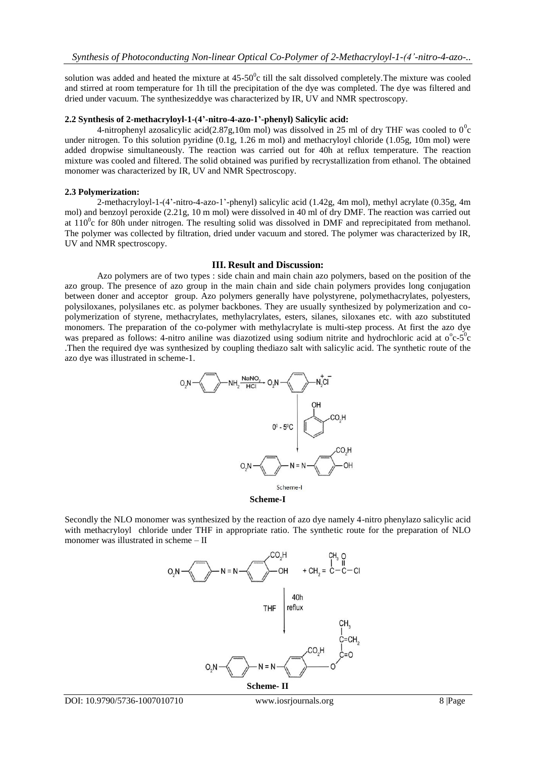solution was added and heated the mixture at  $45{\text -}50^{\circ}$ c till the salt dissolved completely. The mixture was cooled and stirred at room temperature for 1h till the precipitation of the dye was completed. The dye was filtered and dried under vacuum. The synthesizeddye was characterized by IR, UV and NMR spectroscopy.

#### **2.2 Synthesis of 2-methacryloyl-1-(4'-nitro-4-azo-1'-phenyl) Salicylic acid:**

4-nitrophenyl azosalicylic acid(2.87g,10m mol) was dissolved in 25 ml of dry THF was cooled to  $0^0$ c under nitrogen. To this solution pyridine (0.1g, 1.26 m mol) and methacryloyl chloride (1.05g, 10m mol) were added dropwise simultaneously. The reaction was carried out for 40h at reflux temperature. The reaction mixture was cooled and filtered. The solid obtained was purified by recrystallization from ethanol. The obtained monomer was characterized by IR, UV and NMR Spectroscopy.

#### **2.3 Polymerization:**

2-methacryloyl-1-(4'-nitro-4-azo-1'-phenyl) salicylic acid (1.42g, 4m mol), methyl acrylate (0.35g, 4m mol) and benzoyl peroxide (2.21g, 10 m mol) were dissolved in 40 ml of dry DMF. The reaction was carried out at  $110^{\circ}$ c for 80h under nitrogen. The resulting solid was dissolved in DMF and reprecipitated from methanol. The polymer was collected by filtration, dried under vacuum and stored. The polymer was characterized by IR, UV and NMR spectroscopy.

#### **III. Result and Discussion:**

Azo polymers are of two types : side chain and main chain azo polymers, based on the position of the azo group. The presence of azo group in the main chain and side chain polymers provides long conjugation between doner and acceptor group. Azo polymers generally have polystyrene, polymethacrylates, polyesters, polysiloxanes, polysilanes etc. as polymer backbones. They are usually synthesized by polymerization and copolymerization of styrene, methacrylates, methylacrylates, esters, silanes, siloxanes etc. with azo substituted monomers. The preparation of the co-polymer with methylacrylate is multi-step process. At first the azo dye was prepared as follows: 4-nitro aniline was diazotized using sodium nitrite and hydrochloric acid at  $o^{\circ}c-5^{\circ}c$ .Then the required dye was synthesized by coupling thediazo salt with salicylic acid. The synthetic route of the azo dye was illustrated in scheme-1.



Secondly the NLO monomer was synthesized by the reaction of azo dye namely 4-nitro phenylazo salicylic acid with methacryloyl chloride under THF in appropriate ratio. The synthetic route for the preparation of NLO monomer was illustrated in scheme – II

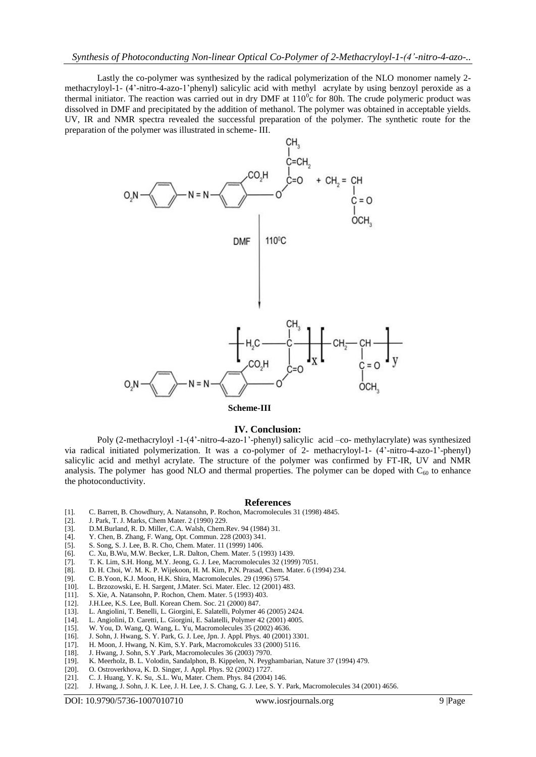Lastly the co-polymer was synthesized by the radical polymerization of the NLO monomer namely 2 methacryloyl-1- (4'-nitro-4-azo-1'phenyl) salicylic acid with methyl acrylate by using benzoyl peroxide as a thermal initiator. The reaction was carried out in dry DMF at  $110^{\circ}$ c for 80h. The crude polymeric product was dissolved in DMF and precipitated by the addition of methanol. The polymer was obtained in acceptable yields. UV, IR and NMR spectra revealed the successful preparation of the polymer. The synthetic route for the preparation of the polymer was illustrated in scheme- III.



**Scheme-III**

#### **IV. Conclusion:**

Poly (2-methacryloyl -1-(4'-nitro-4-azo-1'-phenyl) salicylic acid –co- methylacrylate) was synthesized via radical initiated polymerization. It was a co-polymer of 2- methacryloyl-1- (4'-nitro-4-azo-1'-phenyl) salicylic acid and methyl acrylate. The structure of the polymer was confirmed by FT-IR, UV and NMR analysis. The polymer has good NLO and thermal properties. The polymer can be doped with  $C_{60}$  to enhance the photoconductivity.

#### **References**

- [1]. C. Barrett, B. Chowdhury, A. Natansohn, P. Rochon, Macromolecules 31 (1998) 4845.
- [2]. J. Park, T. J. Marks, Chem Mater. 2 (1990) 229.
- [3]. D.M.Burland, R. D. Miller, C.A. Walsh, Chem.Rev. 94 (1984) 31. [4]. Y. Chen, B. Zhang, F. Wang, Opt. Commun. 228 (2003) 341.
- [4]. Y. Chen, B. Zhang, F. Wang, Opt. Commun. 228 (2003) 341.
- [5]. S. Song, S. J. Lee, B. R. Cho, Chem. Mater. 11 (1999) 1406.
- [6]. C. Xu, B.Wu, M.W. Becker, L.R. Dalton, Chem. Mater. 5 (1993) 1439.
- [7]. T. K. Lim, S.H. Hong, M.Y. Jeong, G. J. Lee, Macromolecules 32 (1999) 7051.
- [8]. D. H. Choi, W. M. K. P. Wijekoon, H. M. Kim, P.N. Prasad, Chem. Mater. 6 (1994) 234.
- [9]. C. B.Yoon, K.J. Moon, H.K. Shira, Macromolecules. 29 (1996) 5754.
- 
- [10]. L. Brzozowski, E. H. Sargent, J. Mater. Sci. Mater. Elec. 12 (2001) 483. [11]. S. Xie, A. Natansohn, P. Rochon, Chem. Mater. 5 (1993) 403. [11]. S. Xie, A. Natansohn, P. Rochon, Chem. Mater. 5 (1993) 403.
- [12]. J.H.Lee, K.S. Lee, Bull. Korean Chem. Soc. 21 (2000) 847.
- [13]. L. Angiolini, T. Benelli, L. Giorgini, E. Salatelli, Polymer 46 (2005) 2424.
- 
- [14]. L. Angiolini, D. Caretti, L. Giorgini, E. Salatelli, Polymer 42 (2001) 4005.<br>[15]. W. You, D. Wang, O. Wang, L. Yu, Macromolecules 35 (2002) 4636. W. You, D. Wang, Q. Wang, L. Yu, Macromolecules 35 (2002) 4636.
- [16]. J. Sohn, J. Hwang, S. Y. Park, G. J. Lee, Jpn. J. Appl. Phys. 40 (2001) 3301.
- [17]. H. Moon, J. Hwang, N. Kim, S.Y. Park, Macromokcules 33 (2000) 5116.<br>[18]. J. Hwang, J. Sohn, S.Y. Park, Macromolecules 36 (2003) 7970.
- J. Hwang, J. Sohn, S.Y .Park, Macromolecules 36 (2003) 7970.
- [19]. K. Meerholz, B. L. Volodin, Sandalphon, B. Kippelen, N. Peyghambarian, Nature 37 (1994) 479.
- [20]. O. Ostroverkhova, K. D. Singer, J. Appl. Phys. 92 (2002) 1727.
- [21]. C. J. Huang, Y. K. Su, .S.L. Wu, Mater. Chem. Phys. 84 (2004) 146.
- [22]. J. Hwang, J. Sohn, J. K. Lee, J. H. Lee, J. S. Chang, G. J. Lee, S. Y. Park, Macromolecules 34 (2001) 4656.